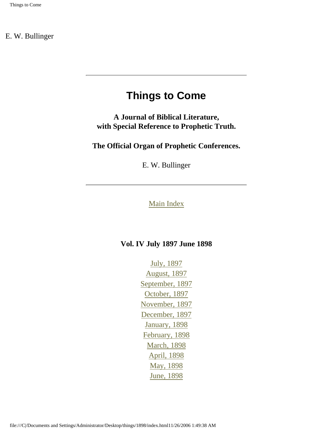# **Things to Come**

<span id="page-0-0"></span>**A Journal of Biblical Literature, with Special Reference to Prophetic Truth.** 

**The Official Organ of Prophetic Conferences.**

E. W. Bullinger

### [Main Index](#page-1-0)

### **Vol. IV July 1897 June 1898**

[July, 1897](#page-6-0) [August, 1897](#page-8-0) [September, 1897](#page-10-0) [October, 1897](#page-12-0) [November, 1897](#page-14-0) [December, 1897](#page-16-0) [January, 1898](#page-19-0) [February, 1898](#page-21-0) [March, 1898](#page-23-0) [April, 1898](#page-25-0) [May, 1898](#page-27-0) [June, 1898](#page-3-0)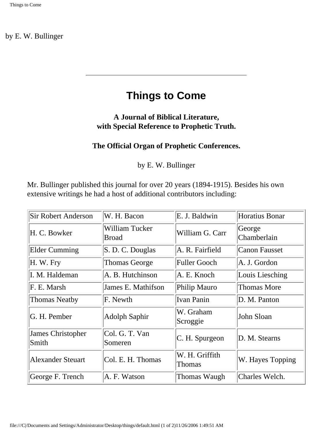# **Things to Come**

### <span id="page-1-0"></span>**A Journal of Biblical Literature, with Special Reference to Prophetic Truth.**

### **The Official Organ of Prophetic Conferences.**

by E. W. Bullinger

Mr. Bullinger published this journal for over 20 years (1894-1915). Besides his own extensive writings he had a host of additional contributors including:

| <b>Sir Robert Anderson</b>        | W. H. Bacon                           | E. J. Baldwin            | Horatius Bonar        |
|-----------------------------------|---------------------------------------|--------------------------|-----------------------|
| H. C. Bowker                      | <b>William Tucker</b><br><b>Broad</b> | William G. Carr          | George<br>Chamberlain |
| <b>Elder Cumming</b>              | S. D. C. Douglas                      | A. R. Fairfield          | <b>Canon Fausset</b>  |
| H. W. Fry                         | <b>Thomas George</b>                  | <b>Fuller Gooch</b>      | A. J. Gordon          |
| I. M. Haldeman                    | A. B. Hutchinson                      | A. E. Knoch              | Louis Liesching       |
| F. E. Marsh                       | James E. Mathifson                    | Philip Mauro             | <b>Thomas More</b>    |
| <b>Thomas Neatby</b>              | F. Newth                              | <b>Ivan Panin</b>        | D. M. Panton          |
| G. H. Pember                      | <b>Adolph Saphir</b>                  | W. Graham<br>Scroggie    | John Sloan            |
| <b>James Christopher</b><br>Smith | Col. G. T. Van<br>Someren             | C. H. Spurgeon           | D. M. Stearns         |
| <b>Alexander Steuart</b>          | Col. E. H. Thomas                     | W. H. Griffith<br>Thomas | W. Hayes Topping      |
| George F. Trench                  | A. F. Watson                          | Thomas Waugh             | Charles Welch.        |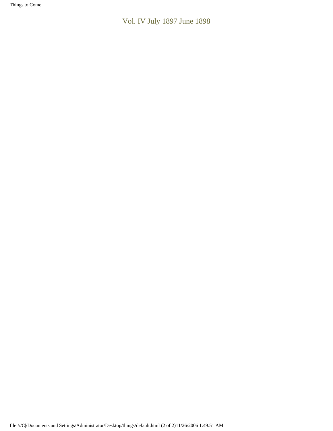Things to Come

[Vol. IV July 1897 June 1898](#page-0-0)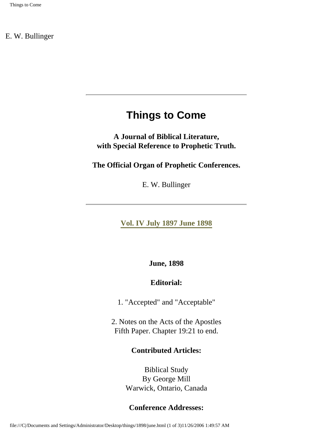# **Things to Come**

<span id="page-3-0"></span>**A Journal of Biblical Literature, with Special Reference to Prophetic Truth.** 

**The Official Organ of Prophetic Conferences.**

E. W. Bullinger

**[Vol. IV July 1897 June 1898](#page-0-0)**

**June, 1898** 

### **Editorial:**

1. "Accepted" and "Acceptable"

2. Notes on the Acts of the Apostles Fifth Paper. Chapter 19:21 to end.

### **Contributed Articles:**

Biblical Study By George Mill Warwick, Ontario, Canada

### **Conference Addresses:**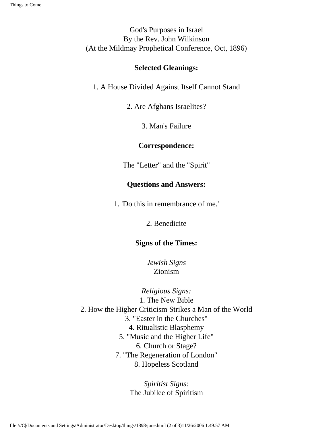God's Purposes in Israel By the Rev. John Wilkinson (At the Mildmay Prophetical Conference, Oct, 1896)

#### **Selected Gleanings:**

1. A House Divided Against Itself Cannot Stand

2. Are Afghans Israelites?

3. Man's Failure

#### **Correspondence:**

The "Letter" and the "Spirit"

### **Questions and Answers:**

1. 'Do this in remembrance of me.'

2. Benedicite

### **Signs of the Times:**

*Jewish Signs* Zionism

*Religious Signs:* 1. The New Bible 2. How the Higher Criticism Strikes a Man of the World 3. "Easter in the Churches" 4. Ritualistic Blasphemy 5. "Music and the Higher Life" 6. Church or Stage? 7. "The Regeneration of London" 8. Hopeless Scotland

> *Spiritist Signs:* The Jubilee of Spiritism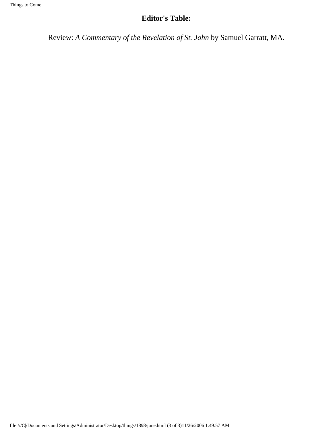### **Editor's Table:**

Review: *A Commentary of the Revelation of St. John* by Samuel Garratt, MA.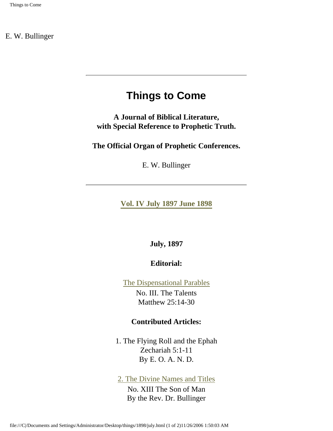# **Things to Come**

<span id="page-6-0"></span>**A Journal of Biblical Literature, with Special Reference to Prophetic Truth.** 

**The Official Organ of Prophetic Conferences.**

E. W. Bullinger

**[Vol. IV July 1897 June 1898](#page-0-0)**

**July, 1897** 

**Editorial:**

[The Dispensational Parables](file:///C|/Documents and Settings/Administrator/Desktop/things/1898/july/dispensational_parables.html)  No. III. The Talents Matthew 25:14-30

#### **Contributed Articles:**

1. The Flying Roll and the Ephah Zechariah 5:1-11 By E. O. A. N. D.

[2. The Divine Names and Titles](file:///C|/Documents and Settings/Administrator/Desktop/things/1898/july/names.html)

No. XIII The Son of Man By the Rev. Dr. Bullinger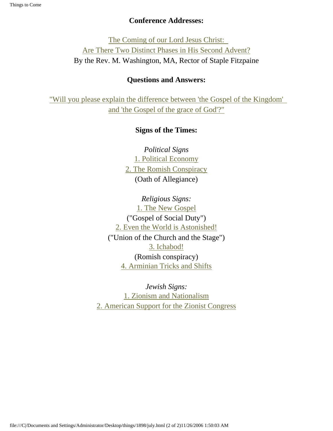### **Conference Addresses:**

[The Coming of our Lord Jesus Christ:](file:///C|/Documents and Settings/Administrator/Desktop/things/1898/july/phases.html)  [Are There Two Distinct Phases in His Second Advent?](file:///C|/Documents and Settings/Administrator/Desktop/things/1898/july/phases.html) By the Rev. M. Washington, MA, Rector of Staple Fitzpaine

### **Questions and Answers:**

["Will you please explain the difference between 'the Gospel of the Kingdom'](file:///C|/Documents and Settings/Administrator/Desktop/things/1898/july/questions.html) [and 'the Gospel of the grace of God'?"](file:///C|/Documents and Settings/Administrator/Desktop/things/1898/july/questions.html)

### **Signs of the Times:**

*Political Signs* [1. Political Economy](file:///C|/Documents and Settings/Administrator/Desktop/things/1898/july/political.html) [2. The Romish Conspiracy](file:///C|/Documents and Settings/Administrator/Desktop/things/1898/july/political.html#romish) (Oath of Allegiance)

*Religious Signs:* [1. The New Gospel](file:///C|/Documents and Settings/Administrator/Desktop/things/1898/july/religious.html) ("Gospel of Social Duty") [2. Even the World is Astonished!](file:///C|/Documents and Settings/Administrator/Desktop/things/1898/july/religious.html#world) ("Union of the Church and the Stage") [3. Ichabod!](file:///C|/Documents and Settings/Administrator/Desktop/things/1898/july/religious.html#ichabod)  (Romish conspiracy) [4. Arminian Tricks and Shifts](file:///C|/Documents and Settings/Administrator/Desktop/things/1898/july/religious.html#arminian)

*Jewish Signs:* [1. Zionism and Nationalism](file:///C|/Documents and Settings/Administrator/Desktop/things/1898/july/jewish.html) [2. American Support for the Zionist Congress](file:///C|/Documents and Settings/Administrator/Desktop/things/1898/july/jewish.html#support)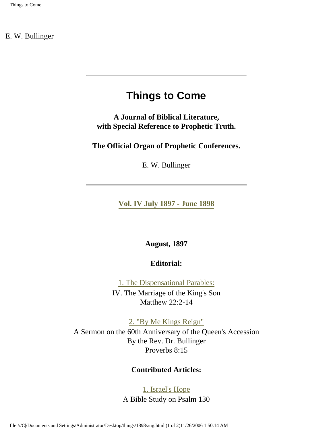# **Things to Come**

<span id="page-8-0"></span>**A Journal of Biblical Literature, with Special Reference to Prophetic Truth.** 

**The Official Organ of Prophetic Conferences.**

E. W. Bullinger

**[Vol. IV July 1897 - June 1898](#page-0-0)**

**August, 1897** 

**Editorial:**

[1. The Dispensational Parables:](file:///C|/Documents and Settings/Administrator/Desktop/things/1898/aug/marriage.html)  IV. The Marriage of the King's Son Matthew 22:2-14

[2. "By Me Kings Reign"](file:///C|/Documents and Settings/Administrator/Desktop/things/1898/aug/reign.html) 

A Sermon on the 60th Anniversary of the Queen's Accession By the Rev. Dr. Bullinger Proverbs 8:15

#### **Contributed Articles:**

### [1. Israel's Hope](file:///C|/Documents and Settings/Administrator/Desktop/things/1898/aug/hope.html) A Bible Study on Psalm 130

file:///C|/Documents and Settings/Administrator/Desktop/things/1898/aug.html (1 of 2)11/26/2006 1:50:14 AM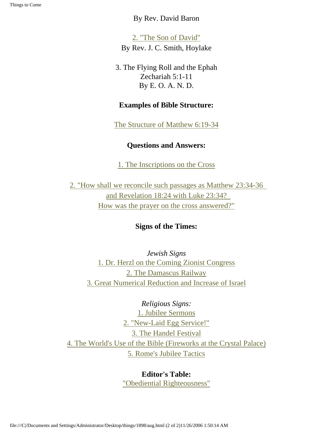### By Rev. David Baron

[2. "The Son of David"](file:///C|/Documents and Settings/Administrator/Desktop/things/1898/aug/david.html)  By Rev. J. C. Smith, Hoylake

3. The Flying Roll and the Ephah Zechariah 5:1-11 By E. O. A. N. D.

### **Examples of Bible Structure:**

[The Structure of Matthew 6:19-34](file:///C|/Documents and Settings/Administrator/Desktop/things/1898/aug/structure.html)

### **Questions and Answers:**

[1. The Inscriptions on the Cross](file:///C|/Documents and Settings/Administrator/Desktop/things/1898/aug/question.html)

[2. "How shall we reconcile such passages as Matthew 23:34-36](file:///C|/Documents and Settings/Administrator/Desktop/things/1898/aug/question.html#2)  [and Revelation 18:24 with Luke 23:34?](file:///C|/Documents and Settings/Administrator/Desktop/things/1898/aug/question.html#2) [How was the prayer on the cross answered?"](file:///C|/Documents and Settings/Administrator/Desktop/things/1898/aug/question.html#2)

### **Signs of the Times:**

*Jewish Signs* [1. Dr. Herzl on the Coming Zionist Congress](file:///C|/Documents and Settings/Administrator/Desktop/things/1898/aug/jewish.html) [2. The Damascus Railway](file:///C|/Documents and Settings/Administrator/Desktop/things/1898/aug/jewish.html#damascus) [3. Great Numerical Reduction and Increase of Israel](file:///C|/Documents and Settings/Administrator/Desktop/things/1898/aug/jewish.html#great)

*Religious Signs:* [1. Jubilee Sermons](file:///C|/Documents and Settings/Administrator/Desktop/things/1898/aug/religious.html) [2. "New-Laid Egg Service!"](file:///C|/Documents and Settings/Administrator/Desktop/things/1898/aug/religious.html#egg) [3. The Handel Festival](file:///C|/Documents and Settings/Administrator/Desktop/things/1898/aug/religious.html#handel) [4. The World's Use of the Bible \(Fireworks at the Crystal Palace\)](file:///C|/Documents and Settings/Administrator/Desktop/things/1898/aug/religious.html#world) [5. Rome's Jubilee Tactics](file:///C|/Documents and Settings/Administrator/Desktop/things/1898/aug/religious.html#rome)

> **Editor's Table:** ["Obediential Righteousness"](file:///C|/Documents and Settings/Administrator/Desktop/things/1898/aug/righteousness.html)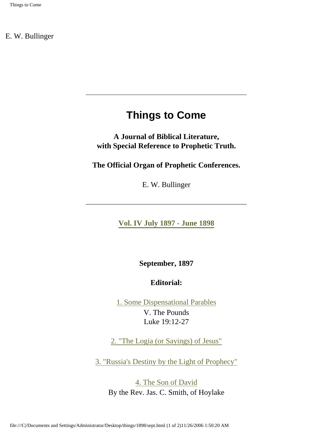# **Things to Come**

<span id="page-10-0"></span>**A Journal of Biblical Literature, with Special Reference to Prophetic Truth.** 

**The Official Organ of Prophetic Conferences.**

E. W. Bullinger

**[Vol. IV July 1897 - June 1898](#page-0-0)**

**September, 1897** 

### **Editorial:**

[1. Some Dispensational Parables](file:///C|/Documents and Settings/Administrator/Desktop/things/1898/sept/parables.html)  V. The Pounds Luke 19:12-27

[2. "The Logia \(or Sayings\) of Jesus"](file:///C|/Documents and Settings/Administrator/Desktop/things/1898/sept/logia.html)

[3. "Russia's Destiny by the Light of Prophecy"](file:///C|/Documents and Settings/Administrator/Desktop/things/1898/sept/russia.html)

[4. The Son of David](file:///C|/Documents and Settings/Administrator/Desktop/things/1898/sept/david.html)  By the Rev. Jas. C. Smith, of Hoylake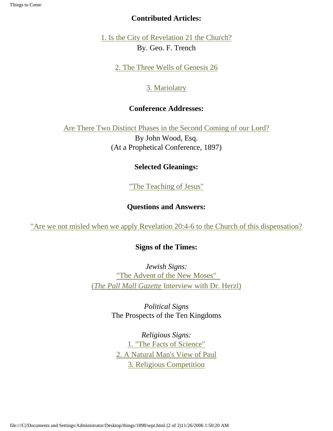#### Things to Come

### **Contributed Articles:**

[1. Is the City of Revelation 21 the Church?](file:///C|/Documents and Settings/Administrator/Desktop/things/1898/sept/church.html) By. Geo. F. Trench

[2. The Three Wells of Genesis 26](file:///C|/Documents and Settings/Administrator/Desktop/things/1898/sept/wells.html)

### [3. Mariolatry](file:///C|/Documents and Settings/Administrator/Desktop/things/1898/sept/mariolatry.html)

### **Conference Addresses:**

[Are There Two Distinct Phases in the Second Coming of our Lord?](file:///C|/Documents and Settings/Administrator/Desktop/things/1898/sept/phases.html)

By John Wood, Esq. (At a Prophetical Conference, 1897)

# **Selected Gleanings:**

["The Teaching of Jesus"](file:///C|/Documents and Settings/Administrator/Desktop/things/1898/sept/teaching.html)

# **Questions and Answers:**

["Are we not misled when we apply Revelation 20:4-6 to the Church of this dispensation?](file:///C|/Documents and Settings/Administrator/Desktop/things/1898/sept/question.html)

### **Signs of the Times:**

*Jewish Signs:* ["The Advent of the New Moses"](file:///C|/Documents and Settings/Administrator/Desktop/things/1898/sept/jewish.html)  (*The Pall Mall Gazette* [Interview with Dr. Herzl\)](file:///C|/Documents and Settings/Administrator/Desktop/things/1898/sept/jewish.html)

> *Political Signs* The Prospects of the Ten Kingdoms

*Religious Signs:* [1. "The Facts of Science"](file:///C|/Documents and Settings/Administrator/Desktop/things/1898/sept/religious.html) [2. A Natural Man's View of Paul](file:///C|/Documents and Settings/Administrator/Desktop/things/1898/sept/religious.html#2) [3. Religious Competition](file:///C|/Documents and Settings/Administrator/Desktop/things/1898/sept/religious.html#3)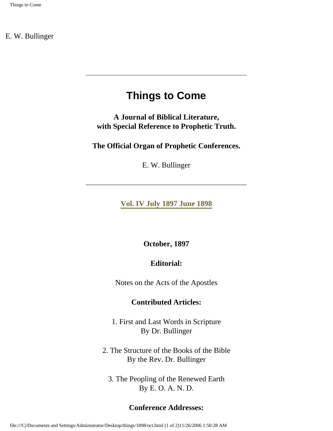# **Things to Come**

<span id="page-12-0"></span>**A Journal of Biblical Literature, with Special Reference to Prophetic Truth.** 

**The Official Organ of Prophetic Conferences.**

E. W. Bullinger

**[Vol. IV July 1897 June 1898](#page-0-0)**

**October, 1897** 

### **Editorial:**

Notes on the Acts of the Apostles

### **Contributed Articles:**

1. First and Last Words in Scripture By Dr. Bullinger

2. The Structure of the Books of the Bible By the Rev. Dr. Bullinger

3. The Peopling of the Renewed Earth By E. O. A. N. D.

### **Conference Addresses:**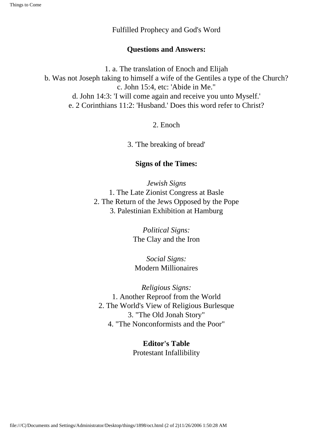Fulfilled Prophecy and God's Word

### **Questions and Answers:**

1. a. The translation of Enoch and Elijah b. Was not Joseph taking to himself a wife of the Gentiles a type of the Church? c. John 15:4, etc: 'Abide in Me." d. John 14:3: 'I will come again and receive you unto Myself.' e. 2 Corinthians 11:2: 'Husband.' Does this word refer to Christ?

2. Enoch

3. 'The breaking of bread'

### **Signs of the Times:**

*Jewish Signs* 1. The Late Zionist Congress at Basle 2. The Return of the Jews Opposed by the Pope 3. Palestinian Exhibition at Hamburg

> *Political Signs:* The Clay and the Iron

*Social Signs:* Modern Millionaires

*Religious Signs:* 1. Another Reproof from the World 2. The World's View of Religious Burlesque 3. "The Old Jonah Story" 4. "The Nonconformists and the Poor"

> **Editor's Table** Protestant Infallibility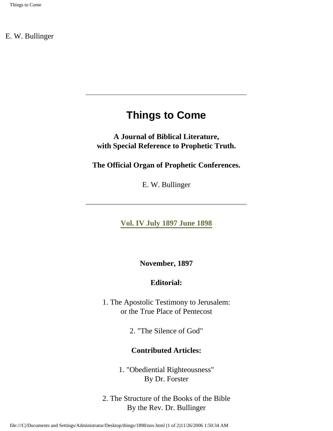# **Things to Come**

<span id="page-14-0"></span>**A Journal of Biblical Literature, with Special Reference to Prophetic Truth.** 

**The Official Organ of Prophetic Conferences.**

E. W. Bullinger

**[Vol. IV July 1897 June 1898](#page-0-0)**

**November, 1897** 

### **Editorial:**

1. The Apostolic Testimony to Jerusalem: or the True Place of Pentecost

2. "The Silence of God"

### **Contributed Articles:**

1. "Obediential Righteousness" By Dr. Forster

2. The Structure of the Books of the Bible By the Rev. Dr. Bullinger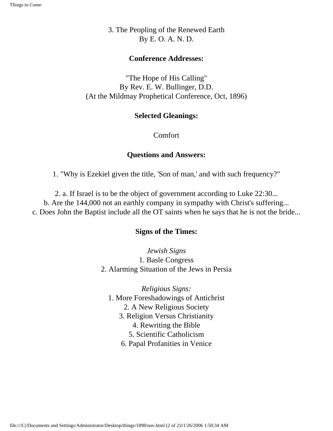3. The Peopling of the Renewed Earth By E. O. A. N. D.

#### **Conference Addresses:**

"The Hope of His Calling" By Rev. E. W. Bullinger, D.D. (At the Mildmay Prophetical Conference, Oct, 1896)

#### **Selected Gleanings:**

Comfort

### **Questions and Answers:**

1. "Why is Ezekiel given the title, 'Son of man,' and with such frequency?"

2. a. If Israel is to be the object of government according to Luke 22:30... b. Are the 144,000 not an earthly company in sympathy with Christ's suffering... c. Does John the Baptist include all the OT saints when he says that he is not the bride...

### **Signs of the Times:**

*Jewish Signs* 1. Basle Congress 2. Alarming Situation of the Jews in Persia

*Religious Signs:* 1. More Foreshadowings of Antichrist 2. A New Religious Society 3. Religion Versus Christianity 4. Rewriting the Bible 5. Scientific Catholicism

6. Papal Profanities in Venice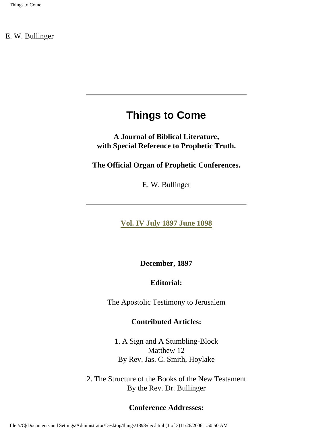# **Things to Come**

<span id="page-16-0"></span>**A Journal of Biblical Literature, with Special Reference to Prophetic Truth.** 

**The Official Organ of Prophetic Conferences.**

E. W. Bullinger

**[Vol. IV July 1897 June 1898](#page-0-0)**

**December, 1897** 

### **Editorial:**

The Apostolic Testimony to Jerusalem

### **Contributed Articles:**

1. A Sign and A Stumbling-Block Matthew 12 By Rev. Jas. C. Smith, Hoylake

2. The Structure of the Books of the New Testament By the Rev. Dr. Bullinger

### **Conference Addresses:**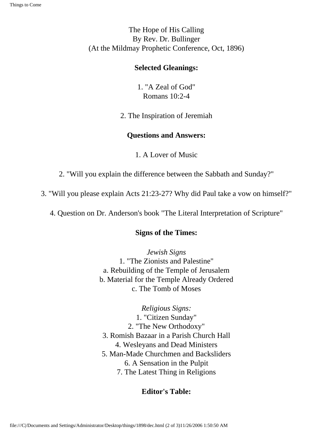The Hope of His Calling By Rev. Dr. Bullinger (At the Mildmay Prophetic Conference, Oct, 1896)

#### **Selected Gleanings:**

1. "A Zeal of God" Romans 10:2-4

2. The Inspiration of Jeremiah

### **Questions and Answers:**

1. A Lover of Music

2. "Will you explain the difference between the Sabbath and Sunday?"

3. "Will you please explain Acts 21:23-27? Why did Paul take a vow on himself?"

4. Question on Dr. Anderson's book "The Literal Interpretation of Scripture"

### **Signs of the Times:**

*Jewish Signs* 1. "The Zionists and Palestine" a. Rebuilding of the Temple of Jerusalem b. Material for the Temple Already Ordered c. The Tomb of Moses

*Religious Signs:* 1. "Citizen Sunday" 2. "The New Orthodoxy" 3. Romish Bazaar in a Parish Church Hall 4. Wesleyans and Dead Ministers 5. Man-Made Churchmen and Backsliders 6. A Sensation in the Pulpit 7. The Latest Thing in Religions

### **Editor's Table:**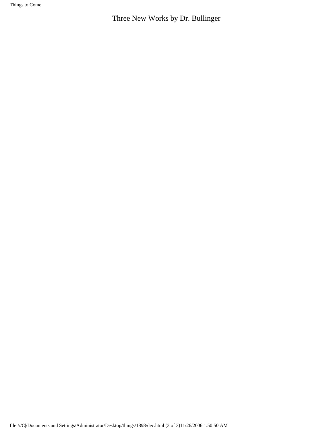Things to Come

Three New Works by Dr. Bullinger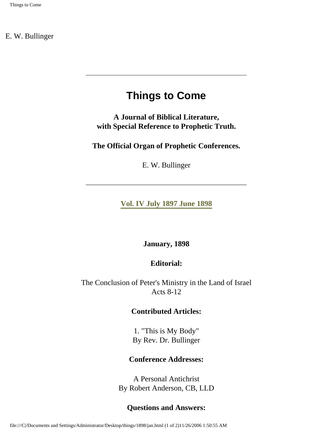# **Things to Come**

<span id="page-19-0"></span>**A Journal of Biblical Literature, with Special Reference to Prophetic Truth.** 

**The Official Organ of Prophetic Conferences.**

E. W. Bullinger

**[Vol. IV July 1897 June 1898](#page-0-0)**

**January, 1898** 

### **Editorial:**

The Conclusion of Peter's Ministry in the Land of Israel Acts 8-12

### **Contributed Articles:**

1. "This is My Body" By Rev. Dr. Bullinger

### **Conference Addresses:**

A Personal Antichrist By Robert Anderson, CB, LLD

### **Questions and Answers:**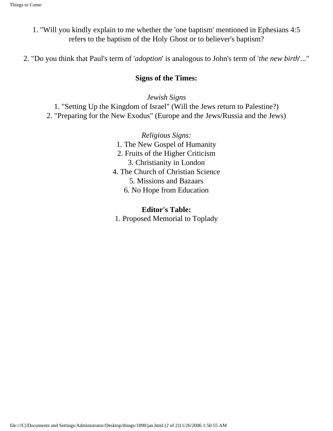- 1. "Will you kindly explain to me whether the 'one baptism' mentioned in Ephesians 4:5 refers to the baptism of the Holy Ghost or to believer's baptism?
- 2. "Do you think that Paul's term of '*adoption*' is analogous to John's term of '*the new birth*'..."

### **Signs of the Times:**

*Jewish Signs*

1. "Setting Up the Kingdom of Israel" (Will the Jews return to Palestine?) 2. "Preparing for the New Exodus" (Europe and the Jews/Russia and the Jews)

> *Religious Signs:* 1. The New Gospel of Humanity 2. Fruits of the Higher Criticism 3. Christianity in London 4. The Church of Christian Science 5. Missions and Bazaars 6. No Hope from Education

**Editor's Table:** 1. Proposed Memorial to Toplady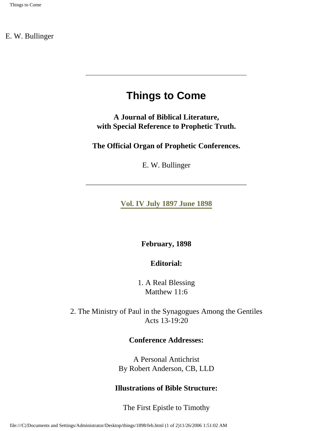# **Things to Come**

<span id="page-21-0"></span>**A Journal of Biblical Literature, with Special Reference to Prophetic Truth.** 

**The Official Organ of Prophetic Conferences.**

E. W. Bullinger

**[Vol. IV July 1897 June 1898](#page-0-0)**

**February, 1898** 

**Editorial:**

1. A Real Blessing Matthew 11:6

2. The Ministry of Paul in the Synagogues Among the Gentiles Acts 13-19:20

#### **Conference Addresses:**

A Personal Antichrist By Robert Anderson, CB, LLD

### **Illustrations of Bible Structure:**

The First Epistle to Timothy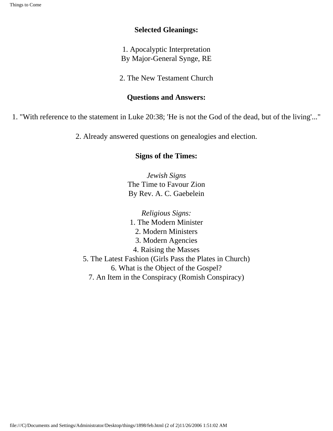### **Selected Gleanings:**

1. Apocalyptic Interpretation By Major-General Synge, RE

2. The New Testament Church

### **Questions and Answers:**

1. "With reference to the statement in Luke 20:38; 'He is not the God of the dead, but of the living'..."

2. Already answered questions on genealogies and election.

### **Signs of the Times:**

*Jewish Signs* The Time to Favour Zion By Rev. A. C. Gaebelein

*Religious Signs:* 1. The Modern Minister 2. Modern Ministers 3. Modern Agencies 4. Raising the Masses 5. The Latest Fashion (Girls Pass the Plates in Church) 6. What is the Object of the Gospel? 7. An Item in the Conspiracy (Romish Conspiracy)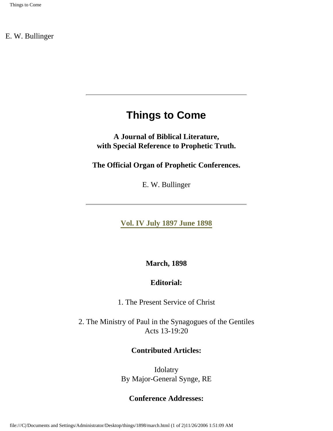# **Things to Come**

<span id="page-23-0"></span>**A Journal of Biblical Literature, with Special Reference to Prophetic Truth.** 

**The Official Organ of Prophetic Conferences.**

E. W. Bullinger

**[Vol. IV July 1897 June 1898](#page-0-0)**

**March, 1898** 

### **Editorial:**

1. The Present Service of Christ

2. The Ministry of Paul in the Synagogues of the Gentiles Acts 13-19:20

### **Contributed Articles:**

Idolatry By Major-General Synge, RE

### **Conference Addresses:**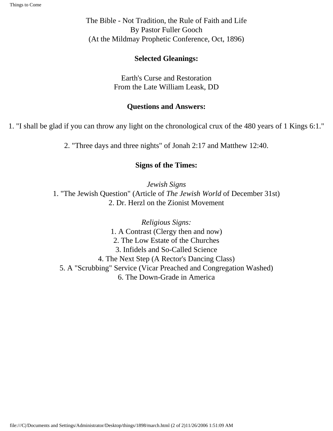The Bible - Not Tradition, the Rule of Faith and Life By Pastor Fuller Gooch (At the Mildmay Prophetic Conference, Oct, 1896)

### **Selected Gleanings:**

Earth's Curse and Restoration From the Late William Leask, DD

### **Questions and Answers:**

1. "I shall be glad if you can throw any light on the chronological crux of the 480 years of 1 Kings 6:1."

2. "Three days and three nights" of Jonah 2:17 and Matthew 12:40.

### **Signs of the Times:**

*Jewish Signs* 1. "The Jewish Question" (Article of *The Jewish World* of December 31st) 2. Dr. Herzl on the Zionist Movement

*Religious Signs:* 1. A Contrast (Clergy then and now) 2. The Low Estate of the Churches 3. Infidels and So-Called Science 4. The Next Step (A Rector's Dancing Class) 5. A "Scrubbing" Service (Vicar Preached and Congregation Washed) 6. The Down-Grade in America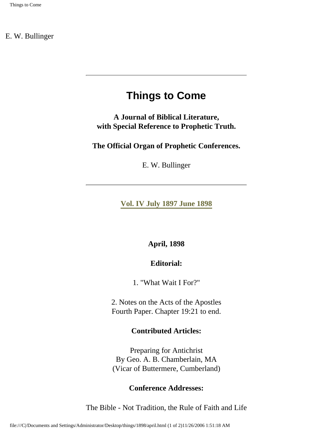# **Things to Come**

<span id="page-25-0"></span>**A Journal of Biblical Literature, with Special Reference to Prophetic Truth.** 

**The Official Organ of Prophetic Conferences.**

E. W. Bullinger

**[Vol. IV July 1897 June 1898](#page-0-0)**

### **April, 1898**

### **Editorial:**

1. "What Wait I For?"

2. Notes on the Acts of the Apostles Fourth Paper. Chapter 19:21 to end.

#### **Contributed Articles:**

Preparing for Antichrist By Geo. A. B. Chamberlain, MA (Vicar of Buttermere, Cumberland)

### **Conference Addresses:**

The Bible - Not Tradition, the Rule of Faith and Life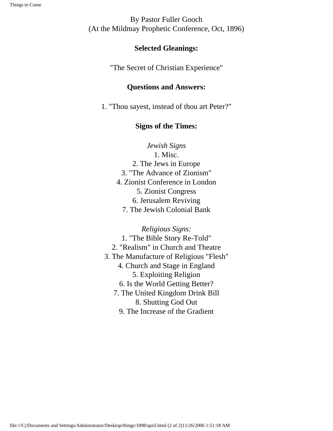By Pastor Fuller Gooch (At the Mildmay Prophetic Conference, Oct, 1896)

### **Selected Gleanings:**

"The Secret of Christian Experience"

### **Questions and Answers:**

1. "Thou sayest, instead of thou art Peter?"

### **Signs of the Times:**

*Jewish Signs* 1. Misc. 2. The Jews in Europe 3. "The Advance of Zionism" 4. Zionist Conference in London 5. Zionist Congress 6. Jerusalem Reviving 7. The Jewish Colonial Bank

*Religious Signs:* 1. "The Bible Story Re-Told" 2. "Realism" in Church and Theatre 3. The Manufacture of Religious "Flesh" 4. Church and Stage in England 5. Exploiting Religion 6. Is the World Getting Better? 7. The United Kingdom Drink Bill 8. Shutting God Out 9. The Increase of the Gradient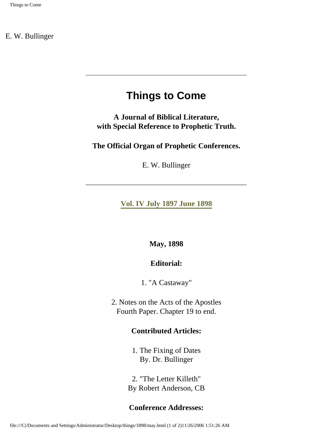# **Things to Come**

<span id="page-27-0"></span>**A Journal of Biblical Literature, with Special Reference to Prophetic Truth.** 

**The Official Organ of Prophetic Conferences.**

E. W. Bullinger

**[Vol. IV July 1897 June 1898](#page-0-0)**

**May, 1898** 

### **Editorial:**

1. "A Castaway"

2. Notes on the Acts of the Apostles Fourth Paper. Chapter 19 to end.

### **Contributed Articles:**

1. The Fixing of Dates By. Dr. Bullinger

2. "The Letter Killeth" By Robert Anderson, CB

### **Conference Addresses:**